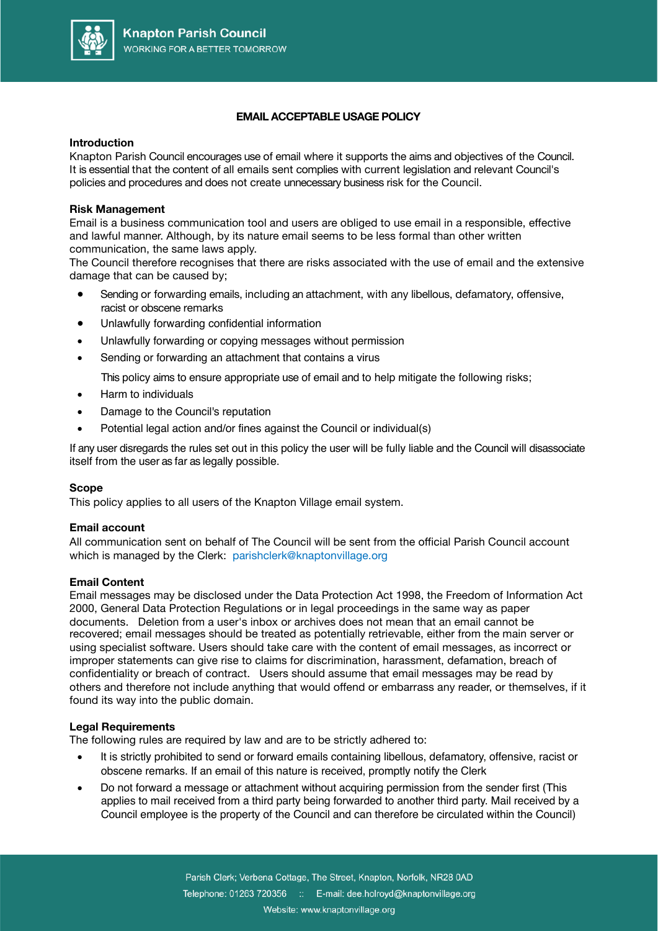

# **EMAIL ACCEPTABLE USAGE POLICY**

#### **Introduction**

Knapton Parish Council encourages use of email where it supports the aims and objectives of the Council. It is essential that the content of all emails sent complies with current legislation and relevant Council's policies and procedures and does not create unnecessary business risk for the Council.

## **Risk Management**

Email is a business communication tool and users are obliged to use email in a responsible, effective and lawful manner. Although, by its nature email seems to be less formal than other written communication, the same laws apply.

The Council therefore recognises that there are risks associated with the use of email and the extensive damage that can be caused by;

- Sending or forwarding emails, including an attachment, with any libellous, defamatory, offensive, racist or obscene remarks
- Unlawfully forwarding confidential information
- Unlawfully forwarding or copying messages without permission
- Sending or forwarding an attachment that contains a virus

This policy aims to ensure appropriate use of email and to help mitigate the following risks;

- Harm to individuals
- Damage to the Council's reputation
- Potential legal action and/or fines against the Council or individual(s)

If any user disregards the rules set out in this policy the user will be fully liable and the Council will disassociate itself from the user as far as legally possible.

## **Scope**

This policy applies to all users of the Knapton Village email system.

## **Email account**

All communication sent on behalf of The Council will be sent from the official Parish Council account which is managed by the Clerk: parishclerk@knaptonvillage.org

## **Email Content**

Email messages may be disclosed under the Data Protection Act 1998, the Freedom of Information Act 2000, General Data Protection Regulations or in legal proceedings in the same way as paper documents. Deletion from a user's inbox or archives does not mean that an email cannot be recovered; email messages should be treated as potentially retrievable, either from the main server or using specialist software. Users should take care with the content of email messages, as incorrect or improper statements can give rise to claims for discrimination, harassment, defamation, breach of confidentiality or breach of contract. Users should assume that email messages may be read by others and therefore not include anything that would offend or embarrass any reader, or themselves, if it found its way into the public domain.

## **Legal Requirements**

The following rules are required by law and are to be strictly adhered to:

- It is strictly prohibited to send or forward emails containing libellous, defamatory, offensive, racist or obscene remarks. If an email of this nature is received, promptly notify the Clerk
- Do not forward a message or attachment without acquiring permission from the sender first (This applies to mail received from a third party being forwarded to another third party. Mail received by a Council employee is the property of the Council and can therefore be circulated within the Council)

Parish Clerk; Verbena Cottage, The Street, Knapton, Norfolk, NR28 0AD Telephone: 01263 720356 :: E-mail: dee.holroyd@knaptonvillage.org Website: www.knaptonvillage.org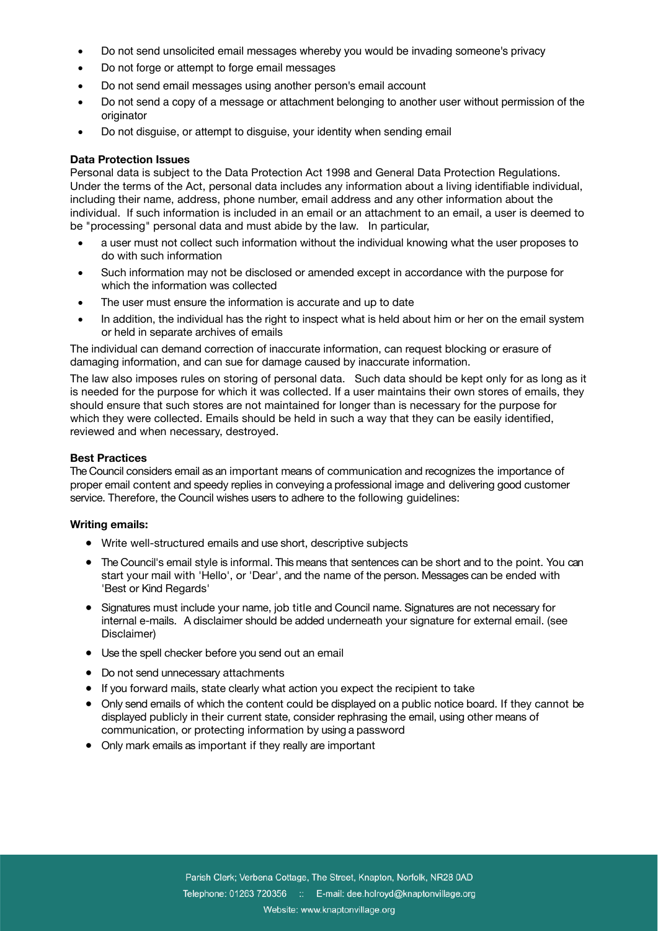- Do not send unsolicited email messages whereby you would be invading someone's privacy
- Do not forge or attempt to forge email messages
- Do not send email messages using another person's email account
- Do not send a copy of a message or attachment belonging to another user without permission of the originator
- Do not disguise, or attempt to disguise, your identity when sending email

## **Data Protection Issues**

Personal data is subject to the Data Protection Act 1998 and General Data Protection Regulations. Under the terms of the Act, personal data includes any information about a living identifiable individual, including their name, address, phone number, email address and any other information about the individual. If such information is included in an email or an attachment to an email, a user is deemed to be "processing" personal data and must abide by the law. In particular,

- a user must not collect such information without the individual knowing what the user proposes to do with such information
- Such information may not be disclosed or amended except in accordance with the purpose for which the information was collected
- The user must ensure the information is accurate and up to date
- In addition, the individual has the right to inspect what is held about him or her on the email system or held in separate archives of emails

The individual can demand correction of inaccurate information, can request blocking or erasure of damaging information, and can sue for damage caused by inaccurate information.

The law also imposes rules on storing of personal data. Such data should be kept only for as long as it is needed for the purpose for which it was collected. If a user maintains their own stores of emails, they should ensure that such stores are not maintained for longer than is necessary for the purpose for which they were collected. Emails should be held in such a way that they can be easily identified, reviewed and when necessary, destroyed.

# **Best Practices**

The Council considers email as an important means of communication and recognizes the importance of proper email content and speedy replies in conveying a professional image and delivering good customer service. Therefore, the Council wishes users to adhere to the following guidelines:

## **Writing emails:**

- Write well-structured emails and use short, descriptive subjects
- The Council's email style is informal. This means that sentences can be short and to the point. You can start your mail with 'Hello', or 'Dear', and the name of the person. Messages can be ended with 'Best or Kind Regards'
- Signatures must include your name, job title and Council name. Signatures are not necessary for internal e-mails. A disclaimer should be added underneath your signature for external email. (see Disclaimer)
- Use the spell checker before you send out an email
- Do not send unnecessary attachments
- If you forward mails, state clearly what action you expect the recipient to take
- Only send emails of which the content could be displayed on a public notice board. If they cannot be displayed publicly in their current state, consider rephrasing the email, using other means of communication, or protecting information by using a password
- Only mark emails as important if they really are important